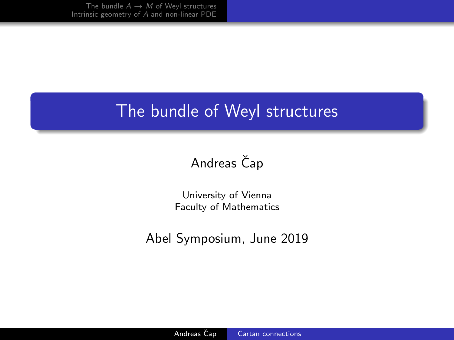# <span id="page-0-0"></span>The bundle of Weyl structures

# Andreas Čap

University of Vienna Faculty of Mathematics

Abel Symposium, June 2019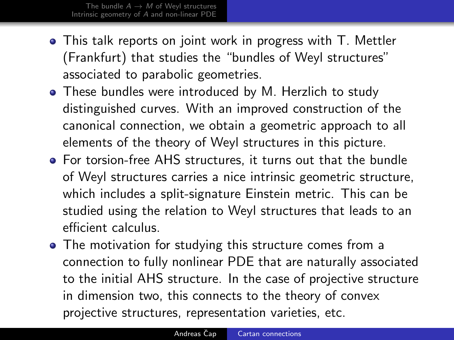- This talk reports on joint work in progress with T. Mettler (Frankfurt) that studies the "bundles of Weyl structures" associated to parabolic geometries.
- These bundles were introduced by M. Herzlich to study distinguished curves. With an improved construction of the canonical connection, we obtain a geometric approach to all elements of the theory of Weyl structures in this picture.
- For torsion-free AHS structures, it turns out that the bundle of Weyl structures carries a nice intrinsic geometric structure, which includes a split-signature Einstein metric. This can be studied using the relation to Weyl structures that leads to an efficient calculus.
- The motivation for studying this structure comes from a connection to fully nonlinear PDE that are naturally associated to the initial AHS structure. In the case of projective structure in dimension two, this connects to the theory of convex projective structures, representation varieties, etc.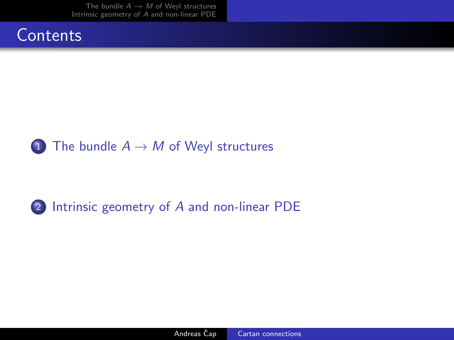## **Contents**



### 2 [Intrinsic geometry of](#page-9-0) A and non-linear PDE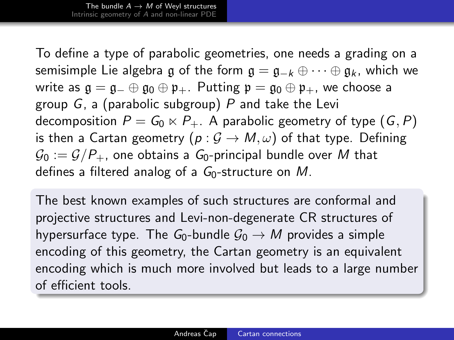<span id="page-3-0"></span>To define a type of parabolic geometries, one needs a grading on a semisimple Lie algebra g of the form  $g = g_{-k} \oplus \cdots \oplus g_k$ , which we write as  $\mathfrak{g} = \mathfrak{g}_- \oplus \mathfrak{g}_0 \oplus \mathfrak{p}_+$ . Putting  $\mathfrak{p} = \mathfrak{g}_0 \oplus \mathfrak{p}_+$ , we choose a group  $G$ , a (parabolic subgroup)  $P$  and take the Levi decomposition  $P = G_0 \ltimes P_+$ . A parabolic geometry of type  $(G, P)$ is then a Cartan geometry  $(p: \mathcal{G} \to M, \omega)$  of that type. Defining  $\mathcal{G}_0 := \mathcal{G}/P_+$ , one obtains a  $\mathcal{G}_0$ -principal bundle over M that defines a filtered analog of a  $G_0$ -structure on M.

The best known examples of such structures are conformal and projective structures and Levi-non-degenerate CR structures of hypersurface type. The  $G_0$ -bundle  $G_0 \rightarrow M$  provides a simple encoding of this geometry, the Cartan geometry is an equivalent encoding which is much more involved but leads to a large number of efficient tools.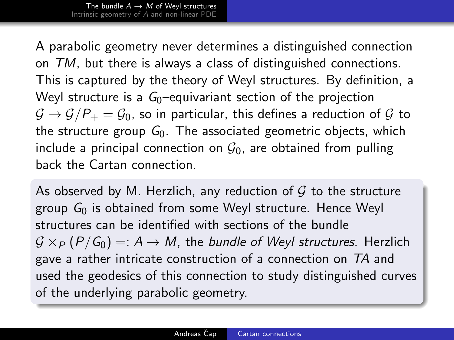A parabolic geometry never determines a distinguished connection on TM, but there is always a class of distinguished connections. This is captured by the theory of Weyl structures. By definition, a Weyl structure is a  $G<sub>0</sub>$ -equivariant section of the projection  $G \rightarrow G/P_+ = G_0$ , so in particular, this defines a reduction of G to the structure group  $G_0$ . The associated geometric objects, which include a principal connection on  $\mathcal{G}_0$ , are obtained from pulling back the Cartan connection.

As observed by M. Herzlich, any reduction of  $G$  to the structure group  $G_0$  is obtained from some Weyl structure. Hence Weyl structures can be identified with sections of the bundle  $G \times_{P} (P/G_0) =: A \rightarrow M$ , the bundle of Weyl structures. Herzlich gave a rather intricate construction of a connection on TA and used the geodesics of this connection to study distinguished curves of the underlying parabolic geometry.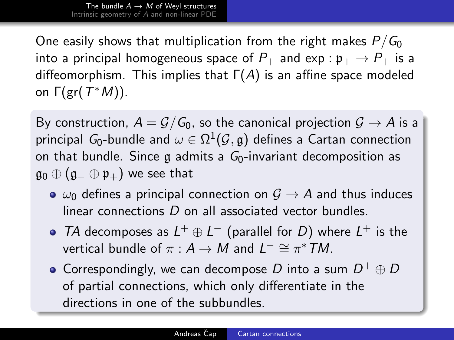One easily shows that multiplication from the right makes  $P/G_0$ into a principal homogeneous space of  $P_+$  and  $\exp : \mathfrak{p}_+ \to P_+$  is a diffeomorphism. This implies that  $\Gamma(A)$  is an affine space modeled on  $\Gamma(\text{gr}(T^*M))$ .

By construction,  $A = \mathcal{G}/\mathcal{G}_0$ , so the canonical projection  $\mathcal{G} \to A$  is a principal  $\mathit{G}_0\text{-}$ bundle and  $\omega\in\Omega^1(\mathcal{G},\mathfrak{g})$  defines a Cartan connection on that bundle. Since g admits a  $G_0$ -invariant decomposition as  $\mathfrak{g}_0 \oplus (\mathfrak{g}_- \oplus \mathfrak{p}_+)$  we see that

- $\bullet \omega_0$  defines a principal connection on  $\mathcal{G} \rightarrow \mathcal{A}$  and thus induces linear connections D on all associated vector bundles.
- TA decomposes as  $L^+ \oplus L^-$  (parallel for D) where  $L^+$  is the vertical bundle of  $\pi : A \to M$  and  $L^- \cong \pi^* TM$ .
- Correspondingly, we can decompose D into a sum  $D^+ \oplus D^$ of partial connections, which only differentiate in the directions in one of the subbundles.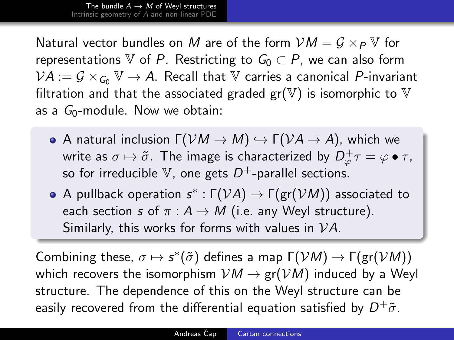Natural vector bundles on M are of the form  $VM = G \times_{P} V$  for representations V of P. Restricting to  $G_0 \subset P$ , we can also form  $VA := \mathcal{G} \times_{\mathcal{G}_0} V \to A$ . Recall that V carries a canonical P-invariant filtration and that the associated graded  $gr(\mathbb{V})$  is isomorphic to  $\mathbb {V}$ as a  $G_0$ -module. Now we obtain:

- **•** A natural inclusion  $\Gamma(VM \to M) \hookrightarrow \Gamma(VA \to A)$ , which we write as  $\sigma\mapsto\tilde{\sigma}.$  The image is characterized by  $D^+_\varphi\tau=\varphi\bullet\tau.$ so for irreducible  $\mathbb {V}$ , one gets  $D^+$ -parallel sections.
- A pullback operation  $s^* : \Gamma(\mathcal{V} A) \to \Gamma(\mathsf{gr}(\mathcal{V} M))$  associated to each section s of  $\pi : A \rightarrow M$  (i.e. any Weyl structure). Similarly, this works for forms with values in VA.

Combining these,  $\sigma \mapsto s^*(\tilde{\sigma})$  defines a map  $\Gamma(\mathcal{V}M) \to \Gamma(\text{gr}(\mathcal{V}M))$ which recovers the isomorphism  $VM \rightarrow gr(VM)$  induced by a Weyl structure. The dependence of this on the Weyl structure can be easily recovered from the differential equation satisfied by  $D^+\tilde{\sigma}.$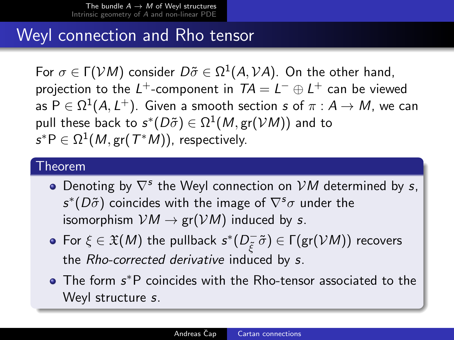# Weyl connection and Rho tensor

For  $\sigma \in \Gamma(\mathcal{V}M)$  consider  $D\tilde{\sigma} \in \Omega^1(A,\mathcal{V}A)$ . On the other hand, projection to the  $L^+$ -component in  $TA = L^- \oplus L^+$  can be viewed as  $\mathsf{P} \in \Omega^1(\mathcal{A},\mathcal{L}^+).$  Given a smooth section  $s$  of  $\pi: \mathcal{A} \to \mathcal{M},$  we can pull these back to  $s^*(D\tilde{\sigma})\in \Omega^1(M,{\rm gr}({\cal V} M))$  and to  $\mathsf{s}^*\mathsf{P} \in \Omega^1(\mathsf{M},\mathsf{gr}(\mathcal{T}^*\mathsf{M})),$  respectively.

#### Theorem

- Denoting by  $\nabla^s$  the Weyl connection on  $VM$  determined by s,  $s^*(D\tilde{\sigma})$  coincides with the image of  $\nabla^s\sigma$  under the isomorphism  $VM \rightarrow gr(VM)$  induced by s.
- For  $\xi \in \mathfrak{X}(M)$  the pullback  $s^*(D_{\tilde{z}}^-)$  $\widetilde{\varepsilon}^{\scriptscriptstyle{-}}\tilde{\sigma})\in\mathsf{\Gamma}(\mathsf{gr}(\mathcal{V} \mathsf{M}))$  recovers the Rho-corrected derivative induced by s.
- The form s\*P coincides with the Rho-tensor associated to the Weyl structure s.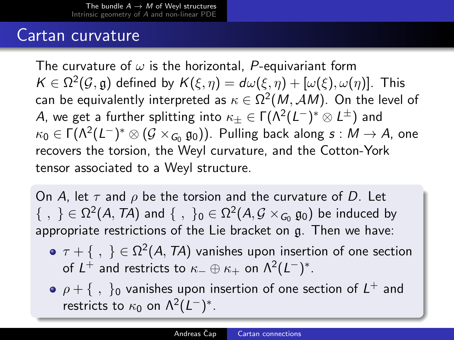## Cartan curvature

The curvature of  $\omega$  is the horizontal, P-equivariant form  $\mathcal{K}\in \Omega^2(\mathcal{G},\mathfrak{g})$  defined by  $\mathcal{K}(\xi,\eta)=d\omega(\xi,\eta)+[\omega(\xi),\omega(\eta)].$  This can be equivalently interpreted as  $\kappa\in\Omega^2(\mathit{M},\mathcal{A}\mathit{M})$ . On the level of A, we get a further splitting into  $\kappa_\pm \in \mathsf{\Gamma}(\mathsf{\Lambda}^2(L^-)^*\otimes L^\pm)$  and  $\kappa_0\in \Gamma(\Lambda^2(L^-)^*\otimes (\mathcal{G}\times_{\mathsf{G}_0}\mathfrak{g}_0))$ . Pulling back along  $s:M\to A$ , one recovers the torsion, the Weyl curvature, and the Cotton-York tensor associated to a Weyl structure.

On A, let  $\tau$  and  $\rho$  be the torsion and the curvature of D. Let  $\{~,~\}\in\Omega^2(\mathcal{A},\mathcal{T}\mathcal{A})$  and  $\{~,~\}_0\in\Omega^2(\mathcal{A},\mathcal{G}\times_{G_0}\mathfrak{g}_0)$  be induced by appropriate restrictions of the Lie bracket on g. Then we have:

- $\tau + \{\ ,\ \} \in \Omega^2(\mathcal{A},\mathcal{T}\mathcal{A})$  vanishes upon insertion of one section of  $L^+$  and restricts to  $\kappa_-\oplus\kappa_+$  on  $\Lambda^2(L^-)^*.$
- $\rho + \{\ ,\ \}_0$  vanishes upon insertion of one section of  $L^+$  and restricts to  $\kappa_0$  on  $\Lambda^2(L^-)^*$ .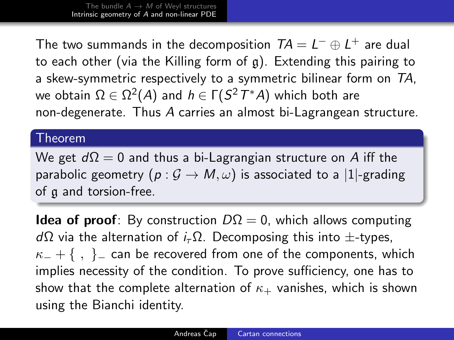<span id="page-9-0"></span>The two summands in the decomposition  $TA = L^{-} \oplus L^{+}$  are dual to each other (via the Killing form of g). Extending this pairing to a skew-symmetric respectively to a symmetric bilinear form on TA, we obtain  $\Omega \in \Omega^2(\mathcal{A})$  and  $h \in \mathsf{\Gamma}(S^2T^*\mathcal{A})$  which both are non-degenerate. Thus A carries an almost bi-Lagrangean structure.

#### Theorem

We get  $d\Omega = 0$  and thus a bi-Lagrangian structure on A iff the parabolic geometry  $(p: \mathcal{G} \to M, \omega)$  is associated to a |1|-grading of g and torsion-free.

**Idea of proof**: By construction  $D\Omega = 0$ , which allows computing  $d\Omega$  via the alternation of  $i<sub>τ</sub> \Omega$ . Decomposing this into  $\pm$ -types,  $\kappa$  + {, } can be recovered from one of the components, which implies necessity of the condition. To prove sufficiency, one has to show that the complete alternation of  $\kappa_{+}$  vanishes, which is shown using the Bianchi identity.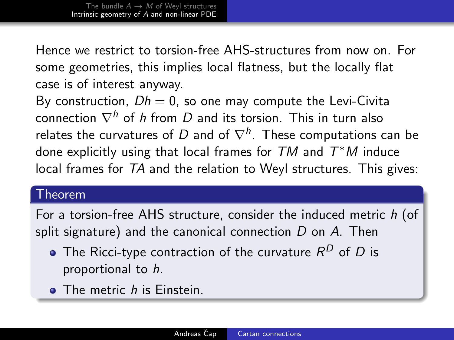Hence we restrict to torsion-free AHS-structures from now on. For some geometries, this implies local flatness, but the locally flat case is of interest anyway.

By construction,  $Dh = 0$ , so one may compute the Levi-Civita connection  $\nabla^h$  of h from D and its torsion. This in turn also relates the curvatures of  $D$  and of  $\nabla^h.$  These computations can be done explicitly using that local frames for  $TM$  and  $T^*M$  induce local frames for TA and the relation to Weyl structures. This gives:

#### Theorem

For a torsion-free AHS structure, consider the induced metric h (of split signature) and the canonical connection  $D$  on  $A$ . Then

- The Ricci-type contraction of the curvature  $\mathcal{R}^D$  of  $D$  is proportional to h.
- **The metric h is Einstein.**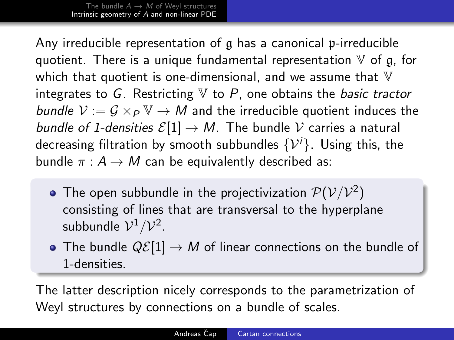Any irreducible representation of g has a canonical p-irreducible quotient. There is a unique fundamental representation  $V$  of g, for which that quotient is one-dimensional, and we assume that  $V$ integrates to G. Restricting  $V$  to P, one obtains the *basic tractor* bundle  $V := G \times_P \mathbb{V} \to M$  and the irreducible quotient induces the bundle of 1-densities  $\mathcal{E}[1] \to M$ . The bundle V carries a natural decreasing filtration by smooth subbundles  $\{\mathcal{V}^i\}$ . Using this, the bundle  $\pi : A \rightarrow M$  can be equivalently described as:

- The open subbundle in the projectivization  $\mathcal{P}(\mathcal{V}/\mathcal{V}^2)$ consisting of lines that are transversal to the hyperplane subbundle  $\mathcal{V}^1/\mathcal{V}^2$ .
- The bundle  $Q\mathcal{E}[1] \to M$  of linear connections on the bundle of 1-densities.

The latter description nicely corresponds to the parametrization of Weyl structures by connections on a bundle of scales.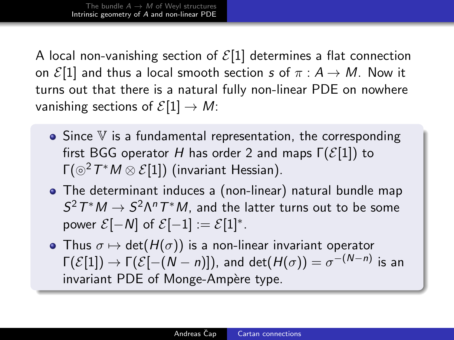A local non-vanishing section of  $\mathcal{E}[1]$  determines a flat connection on  $\mathcal{E}[1]$  and thus a local smooth section s of  $\pi : A \rightarrow M$ . Now it turns out that there is a natural fully non-linear PDE on nowhere vanishing sections of  $\mathcal{E}[1] \to M$ :

- $\bullet$  Since  $V$  is a fundamental representation, the corresponding first BGG operator H has order 2 and maps  $\Gamma(\mathcal{E}[1])$  to Γ $({\odot}^2 T^*M \otimes \mathcal{E}[1])$  (invariant Hessian).
- The determinant induces a (non-linear) natural bundle map  $S^2T^*M \to S^2\Lambda^nT^*M$ , and the latter turns out to be some power  $\mathcal{E}[-N]$  of  $\mathcal{E}[-1] := \mathcal{E}[1]^*$ .
- Thus  $\sigma \mapsto \det(H(\sigma))$  is a non-linear invariant operator  $\Gamma(\mathcal{E}[1])\rightarrow \Gamma(\mathcal{E}[-(N-n)]),$  and  $\det(H(\sigma))=\sigma^{-(N-n)}$  is an invariant PDE of Monge-Ampère type.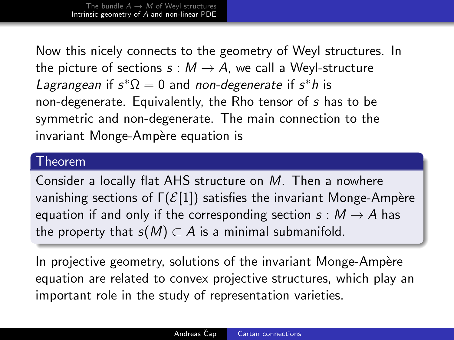Now this nicely connects to the geometry of Weyl structures. In the picture of sections  $s : M \to A$ , we call a Weyl-structure Lagrangean if  $s^*\Omega = 0$  and non-degenerate if  $s^*h$  is non-degenerate. Equivalently, the Rho tensor of s has to be symmetric and non-degenerate. The main connection to the invariant Monge-Ampère equation is

#### Theorem

Consider a locally flat AHS structure on M. Then a nowhere vanishing sections of  $\Gamma(\mathcal{E}[1])$  satisfies the invariant Monge-Ampère equation if and only if the corresponding section  $s : M \to A$  has the property that  $s(M) \subset A$  is a minimal submanifold.

In projective geometry, solutions of the invariant Monge-Ampère equation are related to convex projective structures, which play an important role in the study of representation varieties.